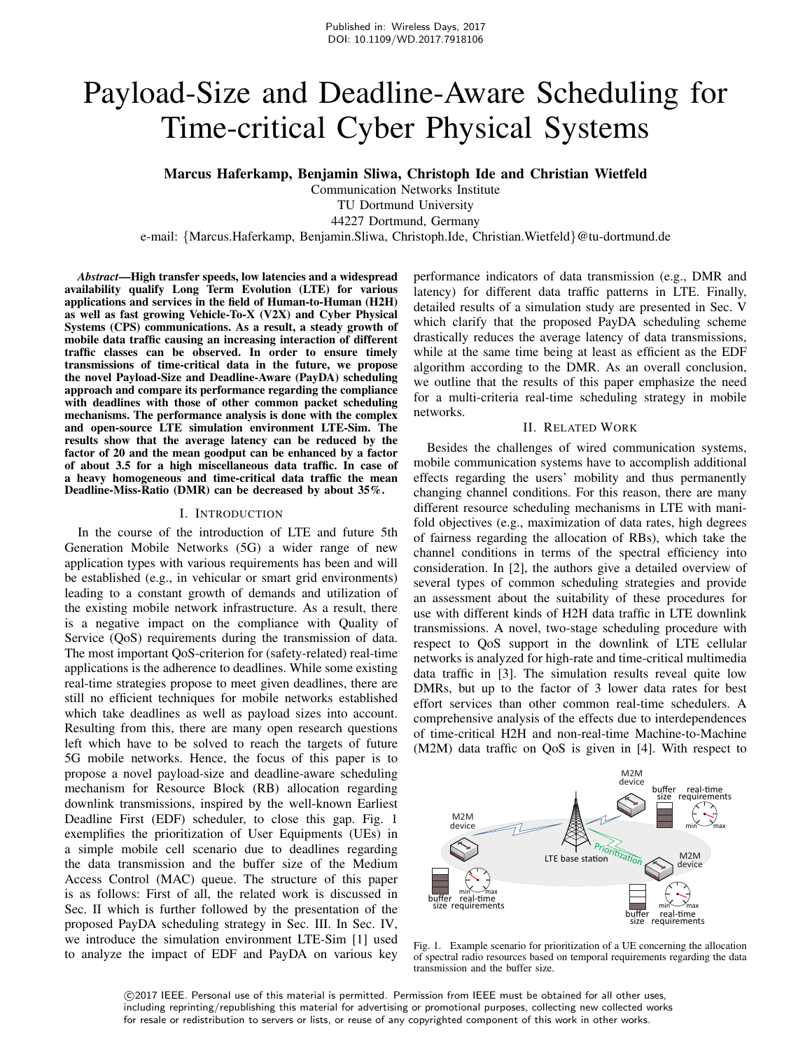# Payload-Size and Deadline-Aware Scheduling for Time-critical Cyber Physical Systems

Marcus Haferkamp, Benjamin Sliwa, Christoph Ide and Christian Wietfeld

Communication Networks Institute

TU Dortmund University

44227 Dortmund, Germany

e-mail: {Marcus.Haferkamp, Benjamin.Sliwa, Christoph.Ide, Christian.Wietfeld}@tu-dortmund.de

*Abstract*—High transfer speeds, low latencies and a widespread availability qualify Long Term Evolution (LTE) for various applications and services in the field of Human-to-Human (H2H) as well as fast growing Vehicle-To-X (V2X) and Cyber Physical Systems (CPS) communications. As a result, a steady growth of mobile data traffic causing an increasing interaction of different traffic classes can be observed. In order to ensure timely transmissions of time-critical data in the future, we propose the novel Payload-Size and Deadline-Aware (PayDA) scheduling approach and compare its performance regarding the compliance with deadlines with those of other common packet scheduling mechanisms. The performance analysis is done with the complex and open-source LTE simulation environment LTE-Sim. The results show that the average latency can be reduced by the factor of 20 and the mean goodput can be enhanced by a factor of about 3.5 for a high miscellaneous data traffic. In case of a heavy homogeneous and time-critical data traffic the mean Deadline-Miss-Ratio (DMR) can be decreased by about 35%.

### I. INTRODUCTION

In the course of the introduction of LTE and future 5th Generation Mobile Networks (5G) a wider range of new application types with various requirements has been and will be established (e.g., in vehicular or smart grid environments) leading to a constant growth of demands and utilization of the existing mobile network infrastructure. As a result, there is a negative impact on the compliance with Quality of Service (QoS) requirements during the transmission of data. The most important QoS-criterion for (safety-related) real-time applications is the adherence to deadlines. While some existing real-time strategies propose to meet given deadlines, there are still no efficient techniques for mobile networks established which take deadlines as well as payload sizes into account. Resulting from this, there are many open research questions left which have to be solved to reach the targets of future 5G mobile networks. Hence, the focus of this paper is to propose a novel payload-size and deadline-aware scheduling mechanism for Resource Block (RB) allocation regarding downlink transmissions, inspired by the well-known Earliest Deadline First (EDF) scheduler, to close this gap. Fig. 1 exemplifies the prioritization of User Equipments (UEs) in a simple mobile cell scenario due to deadlines regarding the data transmission and the buffer size of the Medium Access Control (MAC) queue. The structure of this paper is as follows: First of all, the related work is discussed in Sec. II which is further followed by the presentation of the proposed PayDA scheduling strategy in Sec. III. In Sec. IV, we introduce the simulation environment LTE-Sim [1] used to analyze the impact of EDF and PayDA on various key

performance indicators of data transmission (e.g., DMR and latency) for different data traffic patterns in LTE. Finally, detailed results of a simulation study are presented in Sec. V which clarify that the proposed PayDA scheduling scheme drastically reduces the average latency of data transmissions, while at the same time being at least as efficient as the EDF algorithm according to the DMR. As an overall conclusion, we outline that the results of this paper emphasize the need for a multi-criteria real-time scheduling strategy in mobile networks.

# II. RELATED WORK

Besides the challenges of wired communication systems, mobile communication systems have to accomplish additional effects regarding the users' mobility and thus permanently changing channel conditions. For this reason, there are many different resource scheduling mechanisms in LTE with manifold objectives (e.g., maximization of data rates, high degrees of fairness regarding the allocation of RBs), which take the channel conditions in terms of the spectral efficiency into consideration. In [2], the authors give a detailed overview of several types of common scheduling strategies and provide an assessment about the suitability of these procedures for use with different kinds of H2H data traffic in LTE downlink transmissions. A novel, two-stage scheduling procedure with respect to QoS support in the downlink of LTE cellular networks is analyzed for high-rate and time-critical multimedia data traffic in [3]. The simulation results reveal quite low DMRs, but up to the factor of 3 lower data rates for best effort services than other common real-time schedulers. A comprehensive analysis of the effects due to interdependences of time-critical H2H and non-real-time Machine-to-Machine (M2M) data traffic on QoS is given in [4]. With respect to



Fig. 1. Example scenario for prioritization of a UE concerning the allocation of spectral radio resources based on temporal requirements regarding the data transmission and the buffer size.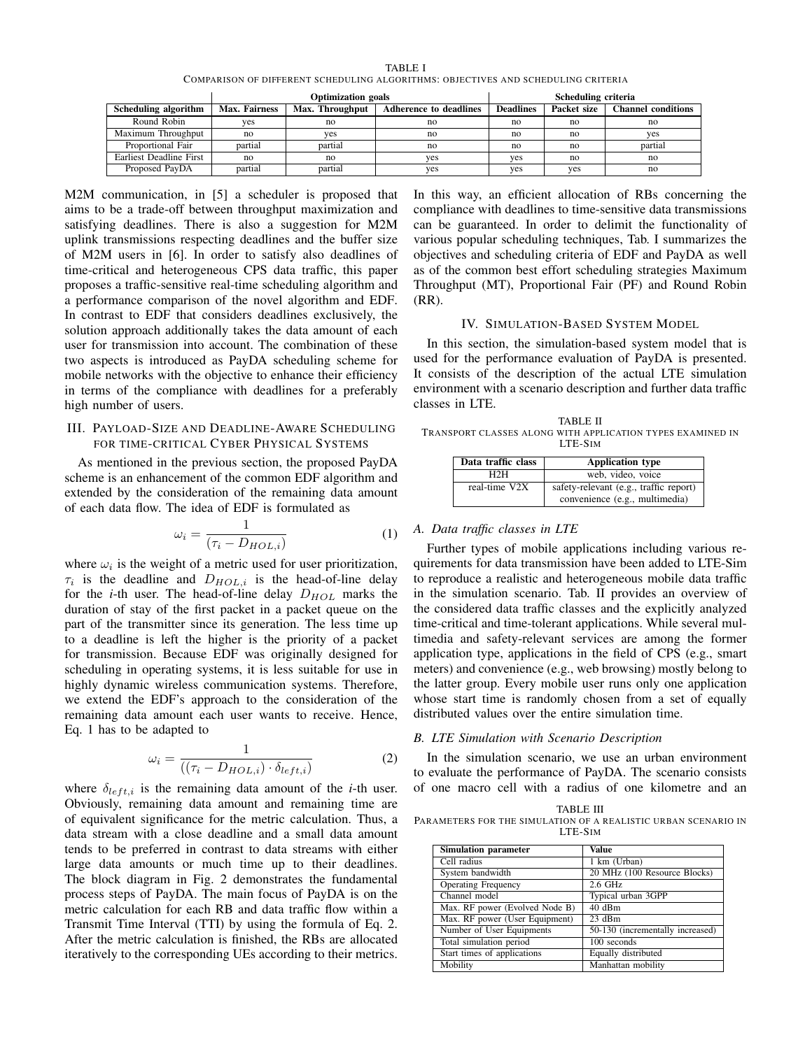**TABLE I** COMPARISON OF DIFFERENT SCHEDULING ALGORITHMS: OBJECTIVES AND SCHEDULING CRITERIA

|                         | <b>Optimization</b> goals |                 |                               | Scheduling criteria |             |                           |
|-------------------------|---------------------------|-----------------|-------------------------------|---------------------|-------------|---------------------------|
| Scheduling algorithm    | Max. Fairness             | Max. Throughput | <b>Adherence to deadlines</b> | <b>Deadlines</b>    | Packet size | <b>Channel conditions</b> |
| Round Robin             | yes                       | no              | no                            | no                  | no          | no                        |
| Maximum Throughput      | no                        | yes             | no                            | no                  | no          | ves                       |
| Proportional Fair       | partial                   | partial         | no                            | no                  | no          | partial                   |
| Earliest Deadline First | no                        | no              | ves                           | ves                 | no          | no                        |
| Proposed PayDA          | partial                   | partial         | ves                           | yes                 | ves         | no                        |

M2M communication, in [5] a scheduler is proposed that aims to be a trade-off between throughput maximization and satisfying deadlines. There is also a suggestion for M2M uplink transmissions respecting deadlines and the buffer size of M2M users in [6]. In order to satisfy also deadlines of time-critical and heterogeneous CPS data traffic, this paper proposes a traffic-sensitive real-time scheduling algorithm and a performance comparison of the novel algorithm and EDF. In contrast to EDF that considers deadlines exclusively, the solution approach additionally takes the data amount of each user for transmission into account. The combination of these two aspects is introduced as PayDA scheduling scheme for mobile networks with the objective to enhance their efficiency in terms of the compliance with deadlines for a preferably high number of users.

# III. PAYLOAD-SIZE AND DEADLINE-AWARE SCHEDULING FOR TIME-CRITICAL CYBER PHYSICAL SYSTEMS

As mentioned in the previous section, the proposed PayDA scheme is an enhancement of the common EDF algorithm and extended by the consideration of the remaining data amount of each data flow. The idea of EDF is formulated as

$$
\omega_i = \frac{1}{(\tau_i - D_{HOL,i})} \tag{1}
$$

where  $\omega_i$  is the weight of a metric used for user prioritization,  $\tau_i$  is the deadline and  $D_{HOL,i}$  is the head-of-line delay for the *i*-th user. The head-of-line delay  $D_{HOL}$  marks the duration of stay of the first packet in a packet queue on the part of the transmitter since its generation. The less time up to a deadline is left the higher is the priority of a packet for transmission. Because EDF was originally designed for scheduling in operating systems, it is less suitable for use in highly dynamic wireless communication systems. Therefore, we extend the EDF's approach to the consideration of the remaining data amount each user wants to receive. Hence, Eq. 1 has to be adapted to

$$
\omega_i = \frac{1}{((\tau_i - D_{HOL,i}) \cdot \delta_{left,i})}
$$
 (2)

where  $\delta_{left,i}$  is the remaining data amount of the *i*-th user. Obviously, remaining data amount and remaining time are of equivalent significance for the metric calculation. Thus, a data stream with a close deadline and a small data amount tends to be preferred in contrast to data streams with either large data amounts or much time up to their deadlines. The block diagram in Fig. 2 demonstrates the fundamental process steps of PayDA. The main focus of PayDA is on the metric calculation for each RB and data traffic flow within a Transmit Time Interval (TTI) by using the formula of Eq. 2. After the metric calculation is finished, the RBs are allocated iteratively to the corresponding UEs according to their metrics.

In this way, an efficient allocation of RBs concerning the compliance with deadlines to time-sensitive data transmissions can be guaranteed. In order to delimit the functionality of various popular scheduling techniques, Tab. I summarizes the objectives and scheduling criteria of EDF and PayDA as well as of the common best effort scheduling strategies Maximum Throughput (MT), Proportional Fair (PF) and Round Robin  $(RR)$ .

# IV. SIMULATION-BASED SYSTEM MODEL

In this section, the simulation-based system model that is used for the performance evaluation of PayDA is presented. It consists of the description of the actual LTE simulation environment with a scenario description and further data traffic classes in LTE.

TARLE II TRANSPORT CLASSES ALONG WITH APPLICATION TYPES EXAMINED IN LTE-SIM

| Data traffic class | <b>Application type</b>                |
|--------------------|----------------------------------------|
| H2H                | web, video, voice                      |
| real-time V2X      | safety-relevant (e.g., traffic report) |
|                    | convenience (e.g., multimedia)         |

# A. Data traffic classes in LTE

Further types of mobile applications including various requirements for data transmission have been added to LTE-Sim to reproduce a realistic and heterogeneous mobile data traffic in the simulation scenario. Tab. II provides an overview of the considered data traffic classes and the explicitly analyzed time-critical and time-tolerant applications. While several multimedia and safety-relevant services are among the former application type, applications in the field of CPS (e.g., smart meters) and convenience (e.g., web browsing) mostly belong to the latter group. Every mobile user runs only one application whose start time is randomly chosen from a set of equally distributed values over the entire simulation time.

# **B.** LTE Simulation with Scenario Description

In the simulation scenario, we use an urban environment to evaluate the performance of PayDA. The scenario consists of one macro cell with a radius of one kilometre and an

| TABLE III                                                      |  |  |  |  |  |
|----------------------------------------------------------------|--|--|--|--|--|
| PARAMETERS FOR THE SIMULATION OF A REALISTIC URBAN SCENARIO IN |  |  |  |  |  |
| <b>LTE-SIM</b>                                                 |  |  |  |  |  |

| <b>Simulation parameter</b>    | Value                            |
|--------------------------------|----------------------------------|
| Cell radius                    | 1 km (Urban)                     |
| System bandwidth               | 20 MHz (100 Resource Blocks)     |
| <b>Operating Frequency</b>     | $2.6$ GHz                        |
| Channel model                  | Typical urban 3GPP               |
| Max. RF power (Evolved Node B) | $40$ dBm                         |
| Max. RF power (User Equipment) | $23$ dBm                         |
| Number of User Equipments      | 50-130 (incrementally increased) |
| Total simulation period        | 100 seconds                      |
| Start times of applications    | Equally distributed              |
| Mobility                       | Manhattan mobility               |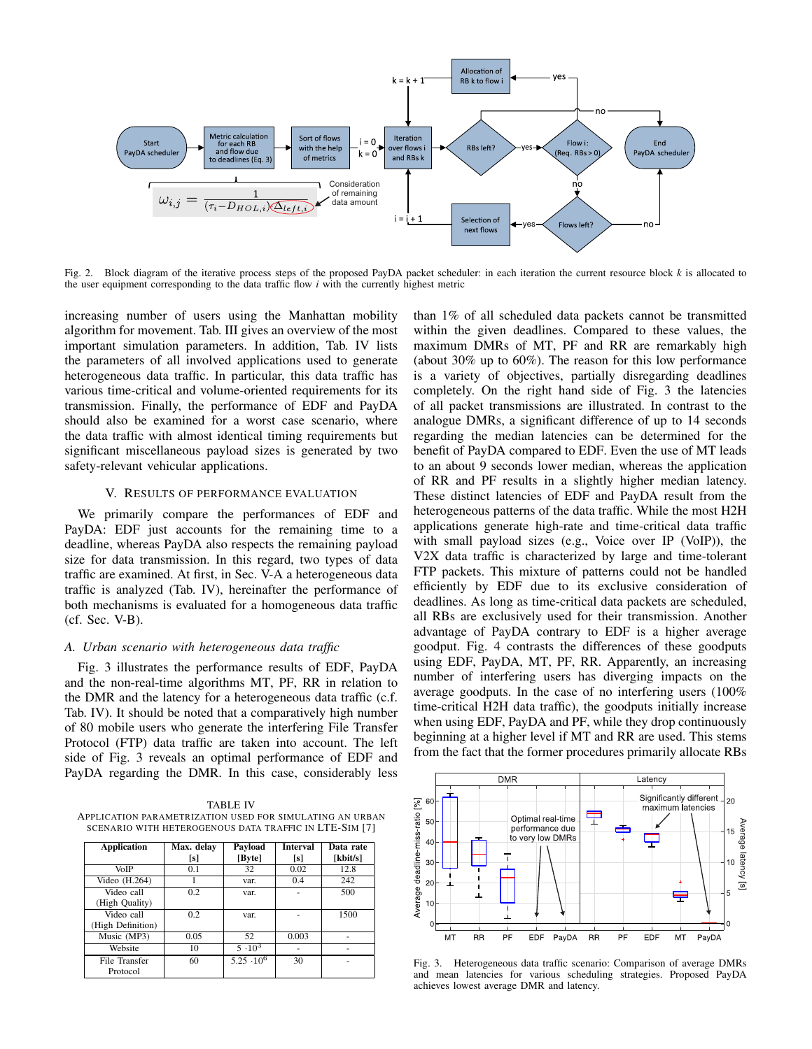

Fig. 2. Block diagram of the iterative process steps of the proposed PayDA packet scheduler: in each iteration the current resource block k is allocated to the user equipment corresponding to the data traffic flow  $i$  with the currently highest metric

increasing number of users using the Manhattan mobility algorithm for movement. Tab. III gives an overview of the most important simulation parameters. In addition, Tab. IV lists the parameters of all involved applications used to generate heterogeneous data traffic. In particular, this data traffic has various time-critical and volume-oriented requirements for its transmission. Finally, the performance of EDF and PayDA should also be examined for a worst case scenario, where the data traffic with almost identical timing requirements but significant miscellaneous payload sizes is generated by two safety-relevant vehicular applications.

# V. RESULTS OF PERFORMANCE EVALUATION

We primarily compare the performances of EDF and PayDA: EDF just accounts for the remaining time to a deadline, whereas PayDA also respects the remaining payload size for data transmission. In this regard, two types of data traffic are examined. At first, in Sec. V-A a heterogeneous data traffic is analyzed (Tab. IV), hereinafter the performance of both mechanisms is evaluated for a homogeneous data traffic (cf. Sec. V-B).

# A. Urban scenario with heterogeneous data traffic

Fig. 3 illustrates the performance results of EDF, PayDA and the non-real-time algorithms MT, PF, RR in relation to the DMR and the latency for a heterogeneous data traffic (c.f. Tab. IV). It should be noted that a comparatively high number of 80 mobile users who generate the interfering File Transfer Protocol (FTP) data traffic are taken into account. The left side of Fig. 3 reveals an optimal performance of EDF and PayDA regarding the DMR. In this case, considerably less

**TABLE IV** APPLICATION PARAMETRIZATION USED FOR SIMULATING AN URBAN SCENARIO WITH HETEROGENOUS DATA TRAFFIC IN LTE-SIM [7]

| <b>Application</b> | Max. delay | Payload           | <b>Interval</b> | Data rate |
|--------------------|------------|-------------------|-----------------|-----------|
|                    | [s]        | [Byte]            | [s]             | [kbit/s]  |
| VoIP               | 0.1        | 32                | 0.02            | 12.8      |
| Video $(H.264)$    |            | var.              | 0.4             | 242       |
| Video call         | 0.2        | var.              |                 | 500       |
| (High Quality)     |            |                   |                 |           |
| Video call         | 0.2        | var.              |                 | 1500      |
| (High Definition)  |            |                   |                 |           |
| Music (MP3)        | 0.05       | 52                | 0.003           |           |
| Website            | 10         | $5 \cdot 10^3$    |                 |           |
| File Transfer      | 60         | $5.25 \cdot 10^6$ | 30              |           |
| Protocol           |            |                   |                 |           |

than 1% of all scheduled data packets cannot be transmitted within the given deadlines. Compared to these values, the maximum DMRs of MT, PF and RR are remarkably high (about 30% up to  $60\%$ ). The reason for this low performance is a variety of objectives, partially disregarding deadlines completely. On the right hand side of Fig. 3 the latencies of all packet transmissions are illustrated. In contrast to the analogue DMRs, a significant difference of up to 14 seconds regarding the median latencies can be determined for the benefit of PayDA compared to EDF. Even the use of MT leads to an about 9 seconds lower median, whereas the application of RR and PF results in a slightly higher median latency. These distinct latencies of EDF and PayDA result from the heterogeneous patterns of the data traffic. While the most H2H applications generate high-rate and time-critical data traffic with small payload sizes (e.g., Voice over IP (VoIP)), the V2X data traffic is characterized by large and time-tolerant FTP packets. This mixture of patterns could not be handled efficiently by EDF due to its exclusive consideration of deadlines. As long as time-critical data packets are scheduled, all RBs are exclusively used for their transmission. Another advantage of PayDA contrary to EDF is a higher average goodput. Fig. 4 contrasts the differences of these goodputs using EDF, PayDA, MT, PF, RR. Apparently, an increasing number of interfering users has diverging impacts on the average goodputs. In the case of no interfering users (100%) time-critical H2H data traffic), the goodputs initially increase when using EDF, PayDA and PF, while they drop continuously beginning at a higher level if MT and RR are used. This stems from the fact that the former procedures primarily allocate RBs



Fig. 3. Heterogeneous data traffic scenario: Comparison of average DMRs and mean latencies for various scheduling strategies. Proposed PayDA achieves lowest average DMR and latency.